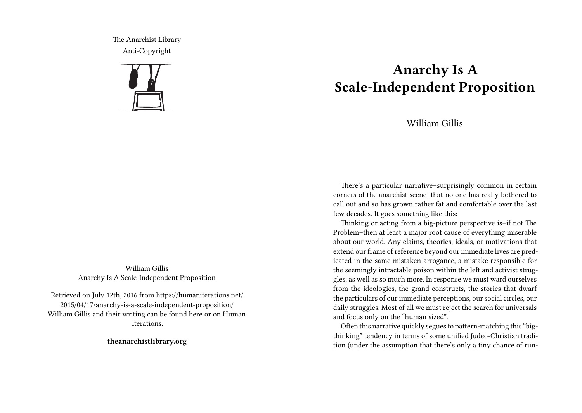The Anarchist Library Anti-Copyright



William Gillis Anarchy Is A Scale-Independent Proposition

Retrieved on July 12th, 2016 from https://humaniterations.net/ 2015/04/17/anarchy-is-a-scale-independent-proposition/ William Gillis and their writing can be found here or on Human **Iterations** 

**theanarchistlibrary.org**

## **Anarchy Is A Scale-Independent Proposition**

## William Gillis

There's a particular narrative–surprisingly common in certain corners of the anarchist scene–that no one has really bothered to call out and so has grown rather fat and comfortable over the last few decades. It goes something like this:

Thinking or acting from a big-picture perspective is–if not The Problem–then at least a major root cause of everything miserable about our world. Any claims, theories, ideals, or motivations that extend our frame of reference beyond our immediate lives are predicated in the same mistaken arrogance, a mistake responsible for the seemingly intractable poison within the left and activist struggles, as well as so much more. In response we must ward ourselves from the ideologies, the grand constructs, the stories that dwarf the particulars of our immediate perceptions, our social circles, our daily struggles. Most of all we must reject the search for universals and focus only on the "human sized".

Often this narrative quickly segues to pattern-matching this "bigthinking" tendency in terms of some unified Judeo-Christian tradition (under the assumption that there's only a tiny chance of run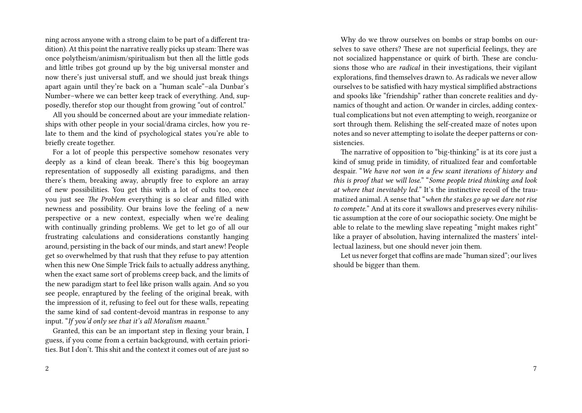ning across anyone with a strong claim to be part of a different tradition). At this point the narrative really picks up steam: There was once polytheism/animism/spiritualism but then all the little gods and little tribes got ground up by the big universal monster and now there's just universal stuff, and we should just break things apart again until they're back on a "human scale"–ala Dunbar's Number–where we can better keep track of everything. And, supposedly, therefor stop our thought from growing "out of control."

All you should be concerned about are your immediate relationships with other people in your social/drama circles, how you relate to them and the kind of psychological states you're able to briefly create together.

For a lot of people this perspective somehow resonates very deeply as a kind of clean break. There's this big boogeyman representation of supposedly all existing paradigms, and then there's them, breaking away, abruptly free to explore an array of new possibilities. You get this with a lot of cults too, once you just see *The Problem* everything is so clear and filled with newness and possibility. Our brains love the feeling of a new perspective or a new context, especially when we're dealing with continually grinding problems. We get to let go of all our frustrating calculations and considerations constantly hanging around, persisting in the back of our minds, and start anew! People get so overwhelmed by that rush that they refuse to pay attention when this new One Simple Trick fails to actually address anything, when the exact same sort of problems creep back, and the limits of the new paradigm start to feel like prison walls again. And so you see people, enraptured by the feeling of the original break, with the impression of it, refusing to feel out for these walls, repeating the same kind of sad content-devoid mantras in response to any input. "*If you'd only see that it's all Moralism maann.*"

Granted, this can be an important step in flexing your brain, I guess, if you come from a certain background, with certain priorities. But I don't. This shit and the context it comes out of are just so

Why do we throw ourselves on bombs or strap bombs on ourselves to save others? These are not superficial feelings, they are not socialized happenstance or quirk of birth. These are conclusions those who are *radical* in their investigations, their vigilant explorations, find themselves drawn to. As radicals we never allow ourselves to be satisfied with hazy mystical simplified abstractions and spooks like "friendship" rather than concrete realities and dynamics of thought and action. Or wander in circles, adding contextual complications but not even attempting to weigh, reorganize or sort through them. Relishing the self-created maze of notes upon notes and so never attempting to isolate the deeper patterns or consistencies.

The narrative of opposition to "big-thinking" is at its core just a kind of smug pride in timidity, of ritualized fear and comfortable despair. "*We have not won in a few scant iterations of history and this is proof that we will lose.*" "*Some people tried thinking and look at where that inevitably led.*" It's the instinctive recoil of the traumatized animal. A sense that "*when the stakes go up we dare not rise to compete.*" And at its core it swallows and preserves every nihilistic assumption at the core of our sociopathic society. One might be able to relate to the mewling slave repeating "might makes right" like a prayer of absolution, having internalized the masters' intellectual laziness, but one should never join them.

Let us never forget that coffins are made "human sized"; our lives should be bigger than them.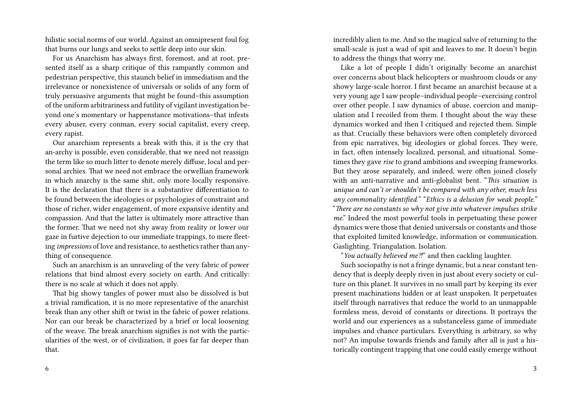hilistic social norms of our world. Against an omnipresent foul fog that burns our lungs and seeks to settle deep into our skin.

For us Anarchism has always first, foremost, and at root, presented itself as a sharp critique of this rampantly common and pedestrian perspective, this staunch belief in immediatism and the irrelevance or nonexistence of universals or solids of any form of truly persuasive arguments that might be found–this assumption of the uniform arbitrariness and futility of vigilant investigation beyond one's momentary or happenstance motivations–that infests every abuser, every conman, every social capitalist, every creep, every rapist.

Our anarchism represents a break with this, it is the cry that an-archy is possible, even considerable, that we need not reassign the term like so much litter to denote merely diffuse, local and personal archies. That we need not embrace the orwellian framework in which anarchy is the same shit, only more locally responsive. It is the declaration that there is a substantive differentiation to be found between the ideologies or psychologies of constraint and those of richer, wider engagement, of more expansive identity and compassion. And that the latter is ultimately more attractive than the former. That we need not shy away from reality or lower our gaze in furtive dejection to our immediate trappings, to mere fleeting *impressions* of love and resistance, to aesthetics rather than anything of consequence.

Such an anarchism is an unraveling of the very fabric of power relations that bind almost every society on earth. And critically: there is no scale at which it does not apply.

That big showy tangles of power must also be dissolved is but a trivial ramification, it is no more representative of the anarchist break than any other shift or twist in the fabric of power relations. Nor can our break be characterized by a brief or local loosening of the weave. The break anarchism signifies is not with the particularities of the west, or of civilization, it goes far far deeper than that.

incredibly alien to me. And so the magical salve of returning to the small-scale is just a wad of spit and leaves to me. It doesn't begin to address the things that worry me.

Like a lot of people I didn't originally become an anarchist over concerns about black helicopters or mushroom clouds or any showy large-scale horror. I first became an anarchist because at a very young age I saw people–individual people–exercising control over other people. I saw dynamics of abuse, coercion and manipulation and I recoiled from them. I thought about the way these dynamics worked and then I critiqued and rejected them. Simple as that. Crucially these behaviors were often completely divorced from epic narratives, big ideologies or global forces. They were, in fact, often intensely localized, personal, and situational. Sometimes they gave *rise* to grand ambitions and sweeping frameworks. But they arose separately, and indeed, were often joined closely with an anti-narrative and anti-globalist bent. "*This situation is unique and can't or shouldn't be compared with any other, much less any commonality identified.*" "*Ethics is a delusion for weak people.*" "*There are no constants so why not give into whatever impulses strike me*." Indeed the most powerful tools in perpetuating these power dynamics were those that denied universals or constants and those that exploited limited knowledge, information or communication. Gaslighting. Triangulation. Isolation.

"*You actually believed me⁈*" and then cackling laughter.

Such sociopathy is not a fringe dynamic, but a near constant tendency that is deeply deeply riven in just about every society or culture on this planet. It survives in no small part by keeping its ever present machinations hidden or at least unspoken. It perpetuates itself through narratives that reduce the world to an unmappable formless mess, devoid of constants or directions. It portrays the world and our experiences as a substanceless game of immediate impulses and chance particulars. Everything is arbitrary, so why not? An impulse towards friends and family after all is just a historically contingent trapping that one could easily emerge without